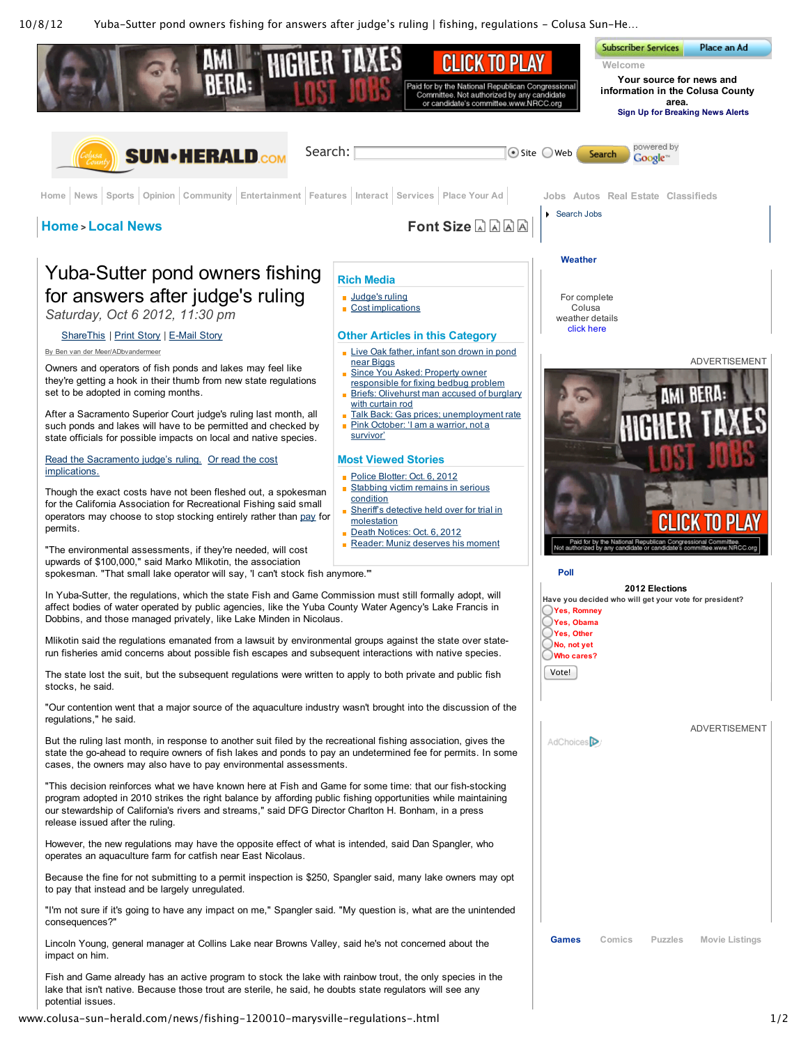10/8/12 Yuba–Sutter pond owners fishing for answers after judge's ruling | fishing, regulations – Colusa Sun–He…



www.colusa–sun–herald.com/news/fishing–120010–marysville–regulations–.html 1/2